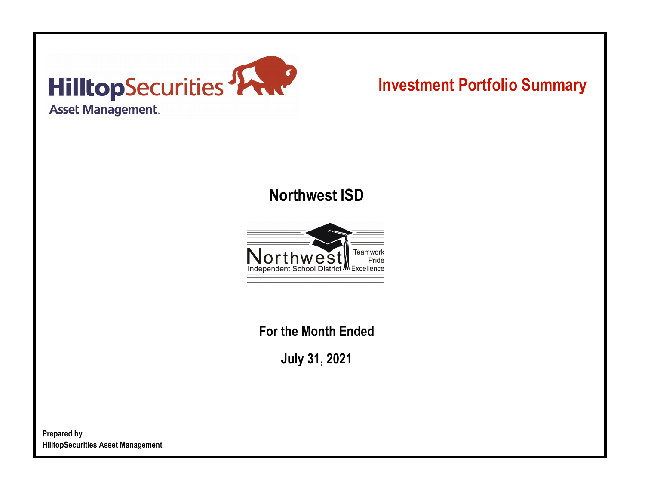

# **Investment Portfolio Summary**

## **Northwest ISD**



**For the Month Ended**

**July 31, 2021**

**Prepared by HilltopSecurities Asset Management**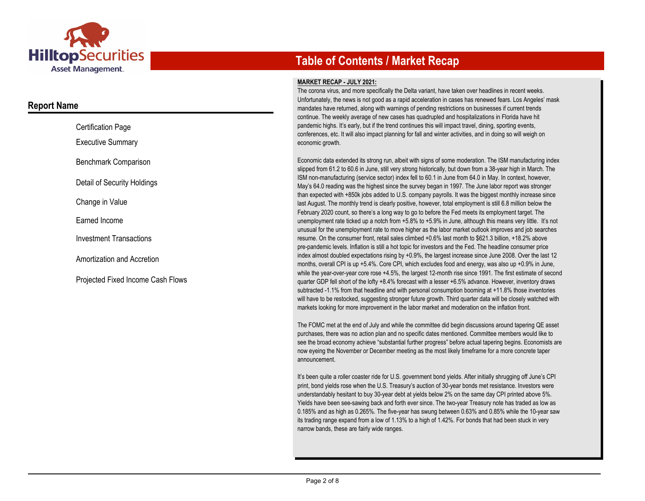

### **Report Name**

| <b>Certification Page</b>         |
|-----------------------------------|
| <b>Executive Summary</b>          |
| Benchmark Comparison              |
| Detail of Security Holdings       |
| Change in Value                   |
| Earned Income                     |
| Investment Transactions           |
| Amortization and Accretion        |
| Projected Fixed Income Cash Flows |

## **Table of Contents / Market Recap**

#### **MARKET RECAP - JULY 2021:**

The corona virus, and more specifically the Delta variant, have taken over headlines in recent weeks. Unfortunately, the news is not good as a rapid acceleration in cases has renewed fears. Los Angeles' mask mandates have returned, along with warnings of pending restrictions on businesses if current trends continue. The weekly average of new cases has quadrupled and hospitalizations in Florida have hit pandemic highs. It's early, but if the trend continues this will impact travel, dining, sporting events, conferences, etc. It will also impact planning for fall and winter activities, and in doing so will weigh on economic growth.

Economic data extended its strong run, albeit with signs of some moderation. The ISM manufacturing index slipped from 61.2 to 60.6 in June, still very strong historically, but down from a 38-year high in March. The ISM non-manufacturing (service sector) index fell to 60.1 in June from 64.0 in May. In context, however, May's 64.0 reading was the highest since the survey began in 1997. The June labor report was stronger than expected with +850k jobs added to U.S. company payrolls. It was the biggest monthly increase since last August. The monthly trend is clearly positive, however, total employment is still 6.8 million below the February 2020 count, so there's a long way to go to before the Fed meets its employment target. The unemployment rate ticked up a notch from +5.8% to +5.9% in June, although this means very little. It's not unusual for the unemployment rate to move higher as the labor market outlook improves and job searches resume. On the consumer front, retail sales climbed +0.6% last month to \$621.3 billion, +18.2% above pre-pandemic levels. Inflation is still a hot topic for investors and the Fed. The headline consumer price index almost doubled expectations rising by +0.9%, the largest increase since June 2008. Over the last 12 months, overall CPI is up +5.4%. Core CPI, which excludes food and energy, was also up +0.9% in June, while the year-over-year core rose +4.5%, the largest 12-month rise since 1991. The first estimate of second quarter GDP fell short of the lofty +8.4% forecast with a lesser +6.5% advance. However, inventory draws subtracted -1.1% from that headline and with personal consumption booming at +11.8% those inventories will have to be restocked, suggesting stronger future growth. Third quarter data will be closely watched with markets looking for more improvement in the labor market and moderation on the inflation front.

The FOMC met at the end of July and while the committee did begin discussions around tapering QE asset purchases, there was no action plan and no specific dates mentioned. Committee members would like to see the broad economy achieve "substantial further progress" before actual tapering begins. Economists are now eyeing the November or December meeting as the most likely timeframe for a more concrete taper announcement.

It's been quite a roller coaster ride for U.S. government bond yields. After initially shrugging off June's CPI print, bond yields rose when the U.S. Treasury's auction of 30-year bonds met resistance. Investors were understandably hesitant to buy 30-year debt at yields below 2% on the same day CPI printed above 5%. Yields have been see-sawing back and forth ever since. The two-year Treasury note has traded as low as 0.185% and as high as 0.265%. The five-year has swung between 0.63% and 0.85% while the 10-year saw its trading range expand from a low of 1.13% to a high of 1.42%. For bonds that had been stuck in very narrow bands, these are fairly wide ranges.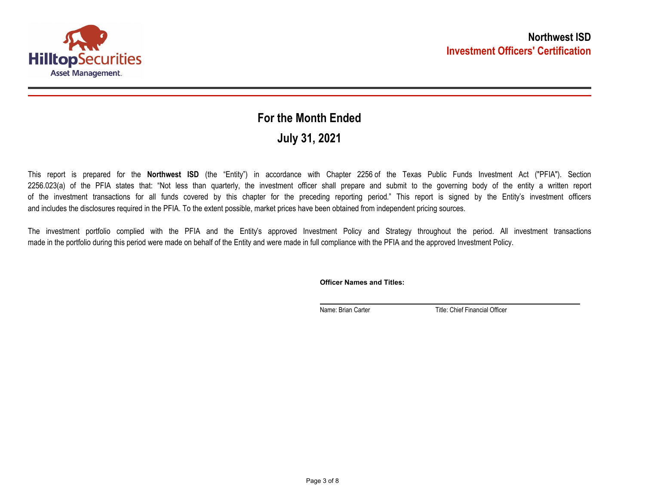

## **July 31, 2021 For the Month Ended**

This report is prepared for the **Northwest ISD** (the "Entity") in accordance with Chapter 2256 of the Texas Public Funds Investment Act ("PFIA"). Section 2256.023(a) of the PFIA states that: "Not less than quarterly, the investment officer shall prepare and submit to the governing body of the entity a written report of the investment transactions for all funds covered by this chapter for the preceding reporting period." This report is signed by the Entity's investment officers and includes the disclosures required in the PFIA. To the extent possible, market prices have been obtained from independent pricing sources.

The investment portfolio complied with the PFIA and the Entity's approved Investment Policy and Strategy throughout the period. All investment transactions made in the portfolio during this period were made on behalf of the Entity and were made in full compliance with the PFIA and the approved Investment Policy.

**Officer Names and Titles:**

Name: Brian Carter Title: Chief Financial Officer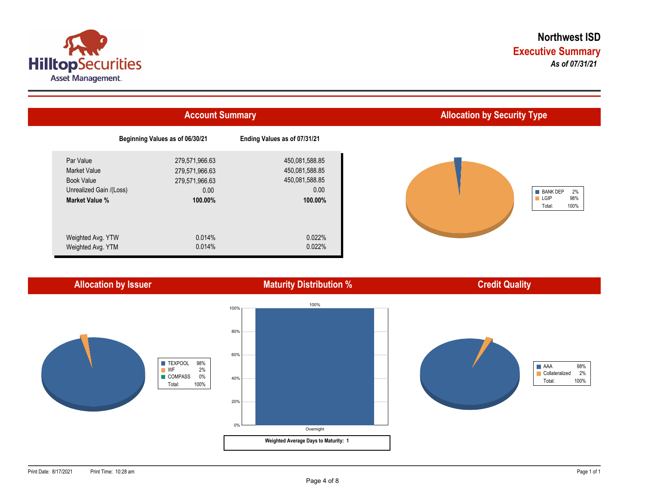



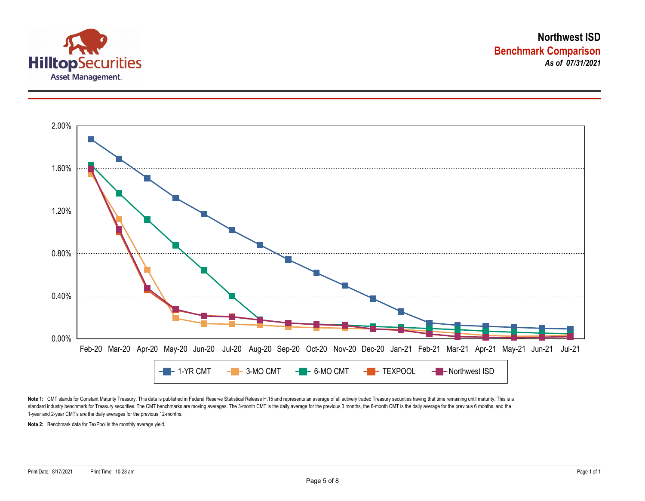



Note 1: CMT stands for Constant Maturity Treasury. This data is published in Federal Reserve Statistical Release H.15 and represents an average of all actively traded Treasury securities having that time remaining until ma standard industry benchmark for Treasury securities. The CMT benchmarks are moving averages. The 3-month CMT is the daily average for the previous 3 months, the 6-month CMT is the daily average for the previous 6 months, a 1-year and 2-year CMT's are the daily averages for the previous 12-months.

**Note 2:** Benchmark data for TexPool is the monthly average yield.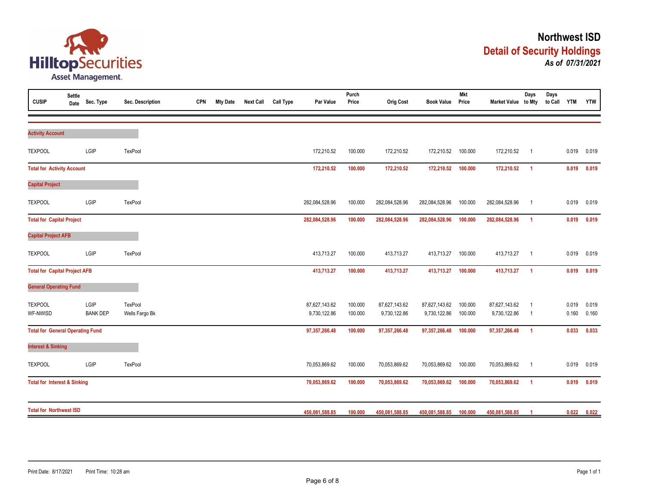

| <b>CUSIP</b>                            | Settle<br>Date | Sec. Type       | Sec. Description | <b>CPN</b> | <b>Mty Date</b> | <b>Next Call</b> | <b>Call Type</b> | Par Value      | Purch<br>Price | Orig Cost      | <b>Book Value</b> | Mkt<br>Price | Market Value to Mty | Days           | Days<br>to Call YTM |       | <b>YTW</b> |
|-----------------------------------------|----------------|-----------------|------------------|------------|-----------------|------------------|------------------|----------------|----------------|----------------|-------------------|--------------|---------------------|----------------|---------------------|-------|------------|
|                                         |                |                 |                  |            |                 |                  |                  |                |                |                |                   |              |                     |                |                     |       |            |
| <b>Activity Account</b>                 |                |                 |                  |            |                 |                  |                  |                |                |                |                   |              |                     |                |                     |       |            |
| <b>TEXPOOL</b>                          |                | LGIP            | <b>TexPool</b>   |            |                 |                  |                  | 172,210.52     | 100.000        | 172,210.52     | 172,210.52        | 100.000      | 172,210.52          | $\overline{1}$ |                     | 0.019 | 0.019      |
| <b>Total for Activity Account</b>       |                |                 |                  |            |                 |                  |                  | 172,210.52     | 100.000        | 172,210.52     | 172,210.52        | 100.000      | 172,210.52          | $\overline{1}$ |                     | 0.019 | 0.019      |
| <b>Capital Project</b>                  |                |                 |                  |            |                 |                  |                  |                |                |                |                   |              |                     |                |                     |       |            |
| <b>TEXPOOL</b>                          |                | LGIP            | TexPool          |            |                 |                  |                  | 282,084,528.96 | 100.000        | 282,084,528.96 | 282,084,528.96    | 100.000      | 282,084,528.96      | $\overline{1}$ |                     | 0.019 | 0.019      |
| <b>Total for Capital Project</b>        |                |                 |                  |            |                 |                  |                  | 282,084,528.96 | 100.000        | 282,084,528.96 | 282,084,528.96    | 100.000      | 282,084,528.96      | $\overline{1}$ |                     | 0.019 | 0.019      |
| <b>Capital Project AFB</b>              |                |                 |                  |            |                 |                  |                  |                |                |                |                   |              |                     |                |                     |       |            |
| <b>TEXPOOL</b>                          |                | LGIP            | TexPool          |            |                 |                  |                  | 413,713.27     | 100.000        | 413,713.27     | 413,713.27        | 100.000      | 413,713.27          | $\overline{1}$ |                     | 0.019 | 0.019      |
| <b>Total for Capital Project AFB</b>    |                |                 |                  |            |                 |                  |                  | 413,713.27     | 100.000        | 413,713.27     | 413,713.27        | 100.000      | 413,713.27          | $\overline{1}$ |                     | 0.019 | 0.019      |
| <b>General Operating Fund</b>           |                |                 |                  |            |                 |                  |                  |                |                |                |                   |              |                     |                |                     |       |            |
| <b>TEXPOOL</b>                          |                | LGIP            | <b>TexPool</b>   |            |                 |                  |                  | 87,627,143.62  | 100.000        | 87,627,143.62  | 87,627,143.62     | 100.000      | 87,627,143.62       | $\overline{1}$ |                     | 0.019 | 0.019      |
| WF-NWISD                                |                | <b>BANK DEP</b> | Wells Fargo Bk   |            |                 |                  |                  | 9,730,122.86   | 100.000        | 9,730,122.86   | 9,730,122.86      | 100.000      | 9,730,122.86        | $\overline{1}$ |                     | 0.160 | 0.160      |
| <b>Total for General Operating Fund</b> |                |                 |                  |            |                 |                  |                  | 97,357,266.48  | 100.000        | 97,357,266.48  | 97,357,266.48     | 100.000      | 97,357,266.48       | $\overline{1}$ |                     | 0.033 | 0.033      |
| <b>Interest &amp; Sinking</b>           |                |                 |                  |            |                 |                  |                  |                |                |                |                   |              |                     |                |                     |       |            |
| <b>TEXPOOL</b>                          |                | LGIP            | TexPool          |            |                 |                  |                  | 70,053,869.62  | 100.000        | 70,053,869.62  | 70,053,869.62     | 100.000      | 70,053,869.62       | $\overline{1}$ |                     | 0.019 | 0.019      |
| <b>Total for Interest &amp; Sinking</b> |                |                 |                  |            |                 |                  |                  | 70,053,869.62  | 100.000        | 70,053,869.62  | 70,053,869.62     | 100.000      | 70,053,869.62       | $\overline{1}$ |                     | 0.019 | 0.019      |
| <b>Total for Northwest ISD</b>          |                |                 |                  |            |                 |                  |                  | 450,081,588.85 | 100.000        | 450,081,588.85 | 450,081,588.85    | 100.000      | 450,081,588.85      | $\overline{1}$ |                     | 0.022 | 0.022      |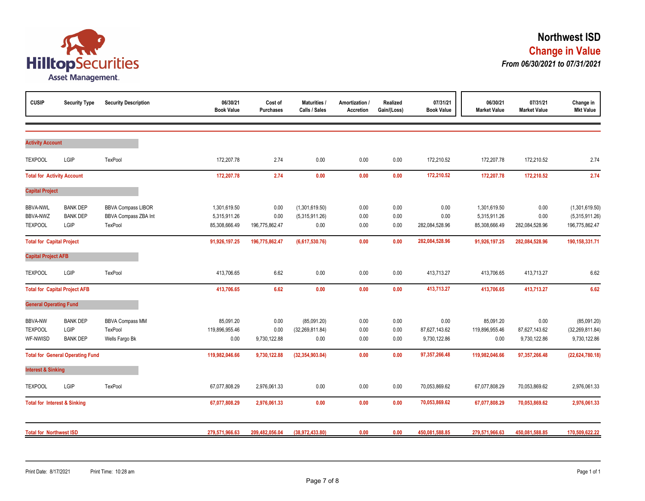

| <b>CUSIP</b>                                  | <b>Security Type</b>                       | <b>Security Description</b>                                  | 06/30/21<br><b>Book Value</b>                 | Cost of<br><b>Purchases</b>    | <b>Maturities /</b><br>Calls / Sales     | Amortization /<br><b>Accretion</b> | Realized<br>Gain/(Loss) | 07/31/21<br><b>Book Value</b>         | 06/30/21<br><b>Market Value</b>               | 07/31/21<br><b>Market Value</b>       | Change in<br><b>Mkt Value</b>                      |
|-----------------------------------------------|--------------------------------------------|--------------------------------------------------------------|-----------------------------------------------|--------------------------------|------------------------------------------|------------------------------------|-------------------------|---------------------------------------|-----------------------------------------------|---------------------------------------|----------------------------------------------------|
| <b>Activity Account</b>                       |                                            |                                                              |                                               |                                |                                          |                                    |                         |                                       |                                               |                                       |                                                    |
| <b>TEXPOOL</b>                                | LGIP                                       | TexPool                                                      | 172,207.78                                    | 2.74                           | 0.00                                     | 0.00                               | 0.00                    | 172,210.52                            | 172,207.78                                    | 172,210.52                            | 2.74                                               |
| <b>Total for Activity Account</b>             |                                            |                                                              | 172,207.78                                    | 2.74                           | 0.00                                     | 0.00                               | 0.00                    | 172,210.52                            | 172,207.78                                    | 172,210.52                            | 2.74                                               |
| <b>Capital Project</b>                        |                                            |                                                              |                                               |                                |                                          |                                    |                         |                                       |                                               |                                       |                                                    |
| <b>BBVA-NWL</b><br>BBVA-NWZ<br><b>TEXPOOL</b> | <b>BANK DEP</b><br><b>BANK DEP</b><br>LGIP | <b>BBVA Compass LIBOR</b><br>BBVA Compass ZBA Int<br>TexPool | 1,301,619.50<br>5,315,911.26<br>85,308,666.49 | 0.00<br>0.00<br>196,775,862.47 | (1,301,619.50)<br>(5,315,911.26)<br>0.00 | 0.00<br>0.00<br>0.00               | 0.00<br>0.00<br>0.00    | 0.00<br>0.00<br>282,084,528.96        | 1,301,619.50<br>5,315,911.26<br>85,308,666.49 | 0.00<br>0.00<br>282,084,528.96        | (1,301,619.50)<br>(5,315,911.26)<br>196,775,862.47 |
| <b>Total for Capital Project</b>              |                                            |                                                              | 91,926,197.25                                 | 196,775,862.47                 | (6,617,530.76)                           | 0.00                               | 0.00                    | 282,084,528.96                        | 91,926,197.25                                 | 282,084,528.96                        | 190,158,331.71                                     |
| <b>Capital Project AFB</b>                    |                                            |                                                              |                                               |                                |                                          |                                    |                         |                                       |                                               |                                       |                                                    |
| <b>TEXPOOL</b>                                | LGIP                                       | <b>TexPool</b>                                               | 413,706.65                                    | 6.62                           | 0.00                                     | 0.00                               | 0.00                    | 413,713.27                            | 413,706.65                                    | 413,713.27                            | 6.62                                               |
|                                               | <b>Total for Capital Project AFB</b>       |                                                              | 413.706.65                                    | 6.62                           | 0.00                                     | 0.00                               | 0.00                    | 413,713.27                            | 413,706.65                                    | 413.713.27                            | 6.62                                               |
| <b>General Operating Fund</b>                 |                                            |                                                              |                                               |                                |                                          |                                    |                         |                                       |                                               |                                       |                                                    |
| <b>BBVA-NW</b><br><b>TEXPOOL</b><br>WF-NWISD  | <b>BANK DEP</b><br>LGIP<br><b>BANK DEP</b> | <b>BBVA Compass MM</b><br>TexPool<br>Wells Fargo Bk          | 85,091.20<br>119,896,955.46<br>0.00           | 0.00<br>0.00<br>9,730,122.88   | (85,091.20)<br>(32, 269, 811.84)<br>0.00 | 0.00<br>0.00<br>0.00               | 0.00<br>0.00<br>0.00    | 0.00<br>87,627,143.62<br>9,730,122.86 | 85,091.20<br>119,896,955.46<br>0.00           | 0.00<br>87,627,143.62<br>9,730,122.86 | (85,091.20)<br>(32, 269, 811.84)<br>9,730,122.86   |
|                                               | <b>Total for General Operating Fund</b>    |                                                              | 119,982,046.66                                | 9,730,122.88                   | (32, 354, 903.04)                        | 0.00                               | 0.00                    | 97,357,266.48                         | 119,982,046.66                                | 97,357,266.48                         | (22, 624, 780.18)                                  |
| <b>Interest &amp; Sinking</b>                 |                                            |                                                              |                                               |                                |                                          |                                    |                         |                                       |                                               |                                       |                                                    |
| <b>TEXPOOL</b>                                | LGIP                                       | TexPool                                                      | 67,077,808.29                                 | 2,976,061.33                   | 0.00                                     | 0.00                               | 0.00                    | 70,053,869.62                         | 67,077,808.29                                 | 70,053,869.62                         | 2,976,061.33                                       |
|                                               | <b>Total for Interest &amp; Sinking</b>    |                                                              | 67,077,808.29                                 | 2,976,061.33                   | 0.00                                     | 0.00                               | 0.00                    | 70,053,869.62                         | 67,077,808.29                                 | 70,053,869.62                         | 2,976,061.33                                       |
| <b>Total for Northwest ISD</b>                |                                            |                                                              | 279,571,966.63                                | 209,482,056.04                 | (38,972,433.80)                          | 0.00                               | 0.00                    | 450,081,588.85                        | 279,571,966.63                                | 450,081,588.85                        | 170,509,622.22                                     |